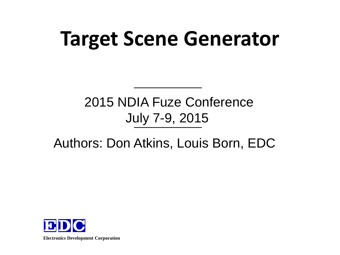# **Target Scene Generator**

#### 2015 NDIA Fuze Conference July 7-9, 2015

#### Authors: Don Atkins, Louis Born, EDC

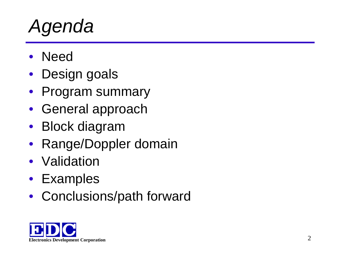#### *Agenda*

- Need
- Design goals
- Program summary
- General approach
- Block diagram
- Range/Doppler domain
- Validation
- Examples
- Conclusions/path forward

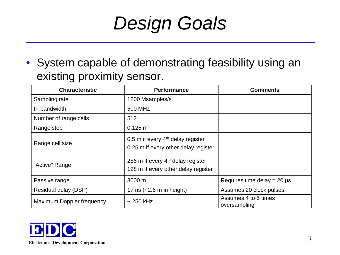#### *Design Goals*

• System capable of demonstrating feasibility using an existing proximity sensor.

| <b>Characteristic</b>     | <b>Performance</b>                                                                    | <b>Comments</b>                      |
|---------------------------|---------------------------------------------------------------------------------------|--------------------------------------|
| Sampling rate             | 1200 Msamples/s                                                                       |                                      |
| IF bandwidth              | 500 MHz                                                                               |                                      |
| Number of range cells     | 512                                                                                   |                                      |
| Range step                | $0.125 \text{ m}$                                                                     |                                      |
| Range cell size           | 0.5 m if every 4 <sup>th</sup> delay register<br>0.25 m if every other delay register |                                      |
| "Active" Range            | 256 m if every 4 <sup>th</sup> delay register<br>128 m if every other delay register  |                                      |
| Passive range             | $3000 \text{ m}$                                                                      | Requires time delay = $20 \mu s$     |
| Residual delay (DSP)      | 17 ns $(-2.6 \text{ m in height})$                                                    | Assumes 20 clock pulses              |
| Maximum Doppler frequency | $\sim$ 250 kHz                                                                        | Assumes 4 to 5 times<br>oversampling |

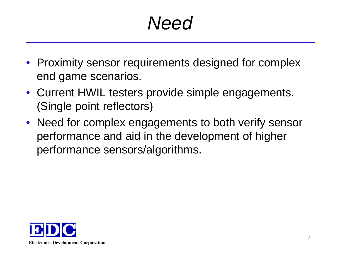#### *Need*

- Proximity sensor requirements designed for complex end game scenarios.
- Current HWIL testers provide simple engagements. (Single point reflectors)
- Need for complex engagements to both verify sensor performance and aid in the development of higher performance sensors/algorithms.

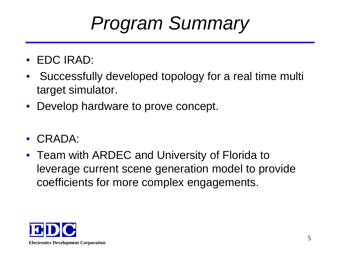#### *Program Summary*

- EDC IRAD:
- Successfully developed topology for a real time multi target simulator.
- Develop hardware to prove concept.
- CRADA:
- Team with ARDEC and University of Florida to leverage current scene generation model to provide coefficients for more complex engagements.

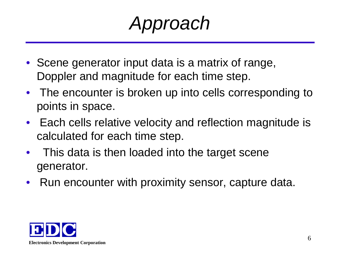*Approach*

- Scene generator input data is a matrix of range, Doppler and magnitude for each time step.
- The encounter is broken up into cells corresponding to points in space.
- Each cells relative velocity and reflection magnitude is calculated for each time step.
- This data is then loaded into the target scene generator.
- Run encounter with proximity sensor, capture data.

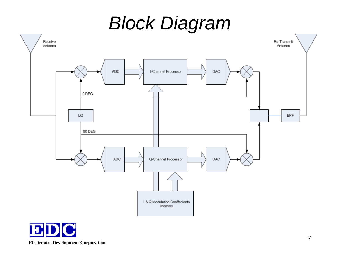#### *Block Diagram*



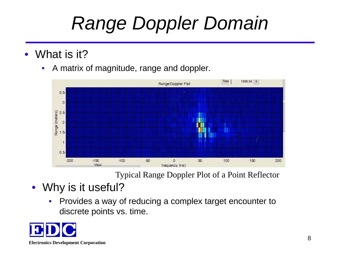# *Range Doppler Domain*

- What is it?
	- A matrix of magnitude, range and doppler.



Typical Range Doppler Plot of a Point Reflector

- Why is it useful?
	- Provides a way of reducing a complex target encounter to discrete points vs. time.

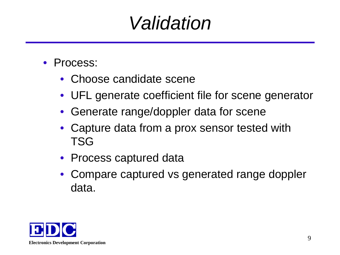#### *Validation*

- Process:
	- Choose candidate scene
	- UFL generate coefficient file for scene generator
	- Generate range/doppler data for scene
	- Capture data from a prox sensor tested with TSG
	- Process captured data
	- Compare captured vs generated range doppler data.

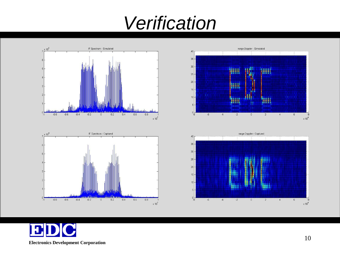## *Verification*